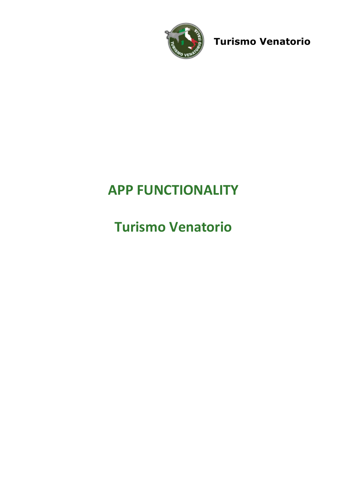

Turismo Venatorio

# APP FUNCTIONALITY

# Turismo Venatorio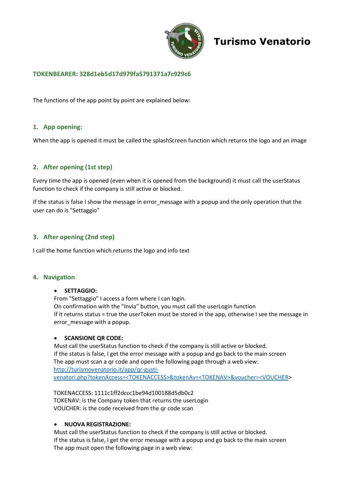

# Turismo Venatorio

## TOKENBEARER: 328d1eb5d17d979fa5791371a7c929c6

The functions of the app point by point are explained below:

## 1. App opening:

When the app is opened it must be called the splashScreen function which returns the logo and an image

## 2. After opening (1st step)

Every time the app is opened (even when it is opened from the background) it must call the userStatus function to check if the company is still active or blocked.

If the status is false I show the message in error message with a popup and the only operation that the user can do is "Settaggio"

### 3. After opening (2nd step)

I call the home function which returns the logo and info text

#### 4. Navigation

#### SETTAGGIO:

From "Settaggio" I access a form where I can login. On confirmation with the "Invia" button, you must call the userLogin function If it returns status = true the userToken must be stored in the app, otherwise I see the message in error message with a popup.

#### **• SCANSIONE QR CODE:**

Must call the userStatus function to check if the company is still active or blocked. If the status is false, I get the error message with a popup and go back to the main screen The app must scan a qr code and open the following page through a web view: http://turismovenatorio.it/app/qr-gustivenatori.php?tokenAccess=<TOKENACCESS>&tokenAv=<TOKENAV>&voucher=<VOUCHER>

TOKENACCESS: 1111c1ff2dccc1be94d100188d5db0c2 TOKENAV: is the Company token that returns the userLogin VOUCHER: is the code received from the qr code scan

#### NUOVA REGISTRAZIONE:

Must call the userStatus function to check if the company is still active or blocked. If the status is false, I get the error message with a popup and go back to the main screen The app must open the following page in a web view: